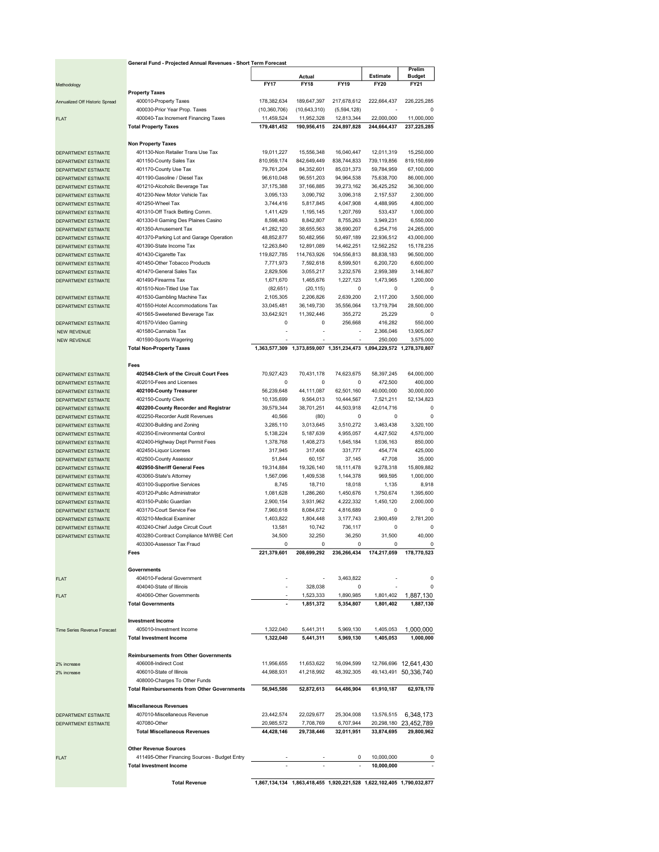|                                                   | General Fund - Projected Annual Revenues - Short Term Forecast                |                          |                                                                       |                          |                          |                           |  |  |  |  |
|---------------------------------------------------|-------------------------------------------------------------------------------|--------------------------|-----------------------------------------------------------------------|--------------------------|--------------------------|---------------------------|--|--|--|--|
|                                                   | Actual                                                                        |                          |                                                                       |                          | Estimate                 | Prelim<br><b>Budget</b>   |  |  |  |  |
| Methodology                                       |                                                                               | <b>FY17</b>              | <b>FY18</b>                                                           | FY19                     | <b>FY20</b>              | FY21                      |  |  |  |  |
|                                                   | <b>Property Taxes</b>                                                         |                          |                                                                       |                          |                          |                           |  |  |  |  |
| Annualized Off Historic Spread                    | 400010-Property Taxes                                                         | 178,382,634              | 189,647,397                                                           | 217,678,612              | 222,664,437              | 226,225,285               |  |  |  |  |
|                                                   | 400030-Prior Year Prop. Taxes                                                 | (10, 360, 706)           | (10,643,310)                                                          | (5,594,128)              |                          | 0                         |  |  |  |  |
| <b>FLAT</b>                                       | 400040-Tax Increment Financing Taxes                                          | 11,459,524               | 11,952,328                                                            | 12,813,344               | 22,000,000               | 11,000,000                |  |  |  |  |
|                                                   | <b>Total Property Taxes</b>                                                   | 179,481,452              | 190,956,415                                                           | 224,897,828              | 244,664,437              | 237,225,285               |  |  |  |  |
|                                                   | <b>Non Property Taxes</b>                                                     |                          |                                                                       |                          |                          |                           |  |  |  |  |
| DEPARTMENT ESTIMATE                               | 401130-Non Retailer Trans Use Tax                                             | 19,011,227               | 15,556,348                                                            | 16,040,447               | 12,011,319               | 15,250,000                |  |  |  |  |
| DEPARTMENT ESTIMATE                               | 401150-County Sales Tax                                                       | 810,959,174              | 842,649,449                                                           | 838,744,833              | 739,119,856              | 819,150,699               |  |  |  |  |
| DEPARTMENT ESTIMATE                               | 401170-County Use Tax                                                         | 79,761,204               | 84,352,601                                                            | 85,031,373               | 59,784,959               | 67,100,000                |  |  |  |  |
| DEPARTMENT ESTIMATE                               | 401190-Gasoline / Diesel Tax                                                  | 96,610,048               | 96,551,203                                                            | 94,964,538               | 75,638,700               | 86,000,000                |  |  |  |  |
| DEPARTMENT ESTIMATE                               | 401210-Alcoholic Beverage Tax                                                 | 37,175,388               | 37,166,885                                                            | 39,273,162               | 36,425,252               | 36,300,000                |  |  |  |  |
| <b>DEPARTMENT ESTIMATE</b>                        | 401230-New Motor Vehicle Tax                                                  | 3,095,133                | 3,090,792                                                             | 3,096,318                | 2,157,537                | 2,300,000                 |  |  |  |  |
| <b>DEPARTMENT ESTIMATE</b>                        | 401250-Wheel Tax                                                              | 3,744,416                | 5,817,845                                                             | 4,047,908                | 4,488,995                | 4,800,000                 |  |  |  |  |
| <b>DEPARTMENT ESTIMATE</b>                        | 401310-Off Track Betting Comm.                                                | 1,411,429                | 1,195,145                                                             | 1,207,769                | 533,437                  | 1,000,000                 |  |  |  |  |
| DEPARTMENT ESTIMATE                               | 401330-II Gaming Des Plaines Casino                                           | 8,598,463                | 8,842,807                                                             | 8,755,263                | 3,949,231                | 6,550,000                 |  |  |  |  |
| DEPARTMENT ESTIMATE                               | 401350-Amusement Tax                                                          | 41,282,120               | 38,655,563<br>50,482,956                                              | 38,690,207               | 6,254,716                | 24,265,000                |  |  |  |  |
| DEPARTMENT ESTIMATE                               | 401370-Parking Lot and Garage Operation<br>401390-State Income Tax            | 48,852,877<br>12,263,840 | 12,891,089                                                            | 50,497,189<br>14,462,251 | 22,936,512<br>12,562,252 | 43,000,000<br>15,178,235  |  |  |  |  |
| DEPARTMENT ESTIMATE<br>DEPARTMENT ESTIMATE        | 401430-Cigarette Tax                                                          | 119,827,785              | 114,763,926                                                           | 104,556,813              | 88,838,183               | 96,500,000                |  |  |  |  |
| DEPARTMENT ESTIMATE                               | 401450-Other Tobacco Products                                                 | 7,771,973                | 7,592,618                                                             | 8,599,501                | 6,200,720                | 6,600,000                 |  |  |  |  |
| DEPARTMENT ESTIMATE                               | 401470-General Sales Tax                                                      | 2,829,506                | 3,055,217                                                             | 3,232,576                | 2,959,389                | 3,146,807                 |  |  |  |  |
| DEPARTMENT ESTIMATE                               | 401490-Firearms Tax                                                           | 1,671,670                | 1,465,676                                                             | 1,227,123                | 1,473,965                | 1,200,000                 |  |  |  |  |
|                                                   | 401510-Non-Titled Use Tax                                                     | (82, 651)                | (20, 115)                                                             | 0                        | 0                        | 0                         |  |  |  |  |
| DEPARTMENT ESTIMATE                               | 401530-Gambling Machine Tax                                                   | 2,105,305                | 2,206,826                                                             | 2,639,200                | 2,117,200                | 3,500,000                 |  |  |  |  |
| DEPARTMENT ESTIMATE                               | 401550-Hotel Accommodations Tax                                               | 33,045,481               | 36,149,730                                                            | 35,556,064               | 13,719,794               | 28,500,000                |  |  |  |  |
|                                                   | 401565-Sweetened Beverage Tax                                                 | 33,642,921               | 11,392,446                                                            | 355,272                  | 25,229                   | 0                         |  |  |  |  |
| DEPARTMENT ESTIMATE                               | 401570-Video Gaming                                                           | 0                        | 0                                                                     | 256,668                  | 416,282                  | 550,000                   |  |  |  |  |
| <b>NEW REVENUE</b>                                | 401580-Cannabis Tax                                                           |                          | ٠                                                                     |                          | 2,366,046                | 13,905,067                |  |  |  |  |
| <b>NEW REVENUE</b>                                | 401590-Sports Wagering                                                        |                          |                                                                       |                          | 250,000                  | 3,575,000                 |  |  |  |  |
|                                                   | <b>Total Non-Property Taxes</b>                                               |                          | 1,363,577,309 1,373,859,007 1,351,234,473 1,094,229,572 1,278,370,807 |                          |                          |                           |  |  |  |  |
|                                                   | Fees                                                                          |                          |                                                                       |                          |                          |                           |  |  |  |  |
|                                                   | 402548-Clerk of the Circuit Court Fees                                        | 70,927,423               | 70,431,178                                                            | 74,623,675               | 58,397,245               | 64,000,000                |  |  |  |  |
| DEPARTMENT ESTIMATE<br><b>DEPARTMENT ESTIMATE</b> | 402010-Fees and Licenses                                                      | 0                        | 0                                                                     | 0                        | 472,500                  | 400,000                   |  |  |  |  |
| DEPARTMENT ESTIMATE                               | 402100-County Treasurer                                                       | 56,239,648               | 44,111,087                                                            | 62,501,160               | 40,000,000               | 30,000,000                |  |  |  |  |
| DEPARTMENT ESTIMATE                               | 402150-County Clerk                                                           | 10,135,699               | 9,564,013                                                             | 10,444,567               | 7,521,211                | 52,134,823                |  |  |  |  |
| DEPARTMENT ESTIMATE                               | 402200-County Recorder and Registrar                                          | 39,579,344               | 38,701,251                                                            | 44,503,918               | 42,014,716               | 0                         |  |  |  |  |
| DEPARTMENT ESTIMATE                               | 402250-Recorder Audit Revenues                                                | 40,566                   | (80)                                                                  | 0                        | 0                        | 0                         |  |  |  |  |
| DEPARTMENT ESTIMATE                               | 402300-Building and Zoning                                                    | 3,285,110                | 3,013,645                                                             | 3,510,272                | 3,463,438                | 3,320,100                 |  |  |  |  |
| DEPARTMENT ESTIMATE                               | 402350-Environmental Control                                                  | 5,138,224                | 5,187,639                                                             | 4,955,057                | 4,427,502                | 4,570,000                 |  |  |  |  |
| DEPARTMENT ESTIMATE                               | 402400-Highway Dept Permit Fees                                               | 1,378,768                | 1,408,273                                                             | 1,645,184                | 1,036,163                | 850,000                   |  |  |  |  |
| DEPARTMENT ESTIMATE                               | 402450-Liquor Licenses                                                        | 317,945                  | 317,406                                                               | 331,777                  | 454,774                  | 425,000                   |  |  |  |  |
| DEPARTMENT ESTIMATE                               | 402500-County Assessor                                                        | 51,844                   | 60,157                                                                | 37,145                   | 47,708                   | 35,000                    |  |  |  |  |
| DEPARTMENT ESTIMATE                               | 402950-Sheriff General Fees                                                   | 19,314,884               | 19,326,140                                                            | 18,111,478               | 9,278,318                | 15,809,882                |  |  |  |  |
| DEPARTMENT ESTIMATE                               | 403060-State's Attorney                                                       | 1,567,096                | 1,409,538                                                             | 1,144,378                | 969,595                  | 1,000,000                 |  |  |  |  |
| DEPARTMENT ESTIMATE                               | 403100-Supportive Services                                                    | 8,745                    | 18,710                                                                | 18,018                   | 1,135                    | 8,918                     |  |  |  |  |
| DEPARTMENT ESTIMATE                               | 403120-Public Administrator                                                   | 1,081,628                | 1,286,260                                                             | 1,450,676                | 1,750,674                | 1,395,600                 |  |  |  |  |
| DEPARTMENT ESTIMATE                               | 403150-Public Guardian<br>403170-Court Service Fee                            | 2,900,154<br>7,960,618   | 3,931,962<br>8,084,672                                                | 4,222,332<br>4,816,689   | 1,450,120<br>0           | 2,000,000<br>0            |  |  |  |  |
| DEPARTMENT ESTIMATE<br><b>DEPARTMENT ESTIMATE</b> | 403210-Medical Examiner                                                       | 1,403,822                | 1,804,448                                                             | 3,177,743                | 2,900,459                | 2,781,200                 |  |  |  |  |
| DEPARTMENT ESTIMATE                               | 403240-Chief Judge Circuit Court                                              | 13,581                   | 10,742                                                                | 736,117                  | $\Omega$                 | 0                         |  |  |  |  |
| DEPARTMENT ESTIMATE                               | 403280-Contract Compliance M/WBE Cert                                         | 34,500                   | 32,250                                                                | 36,250                   | 31.500                   | 40,000                    |  |  |  |  |
|                                                   | 403300-Assessor Tax Fraud                                                     | 0                        | 0                                                                     | 0                        | 0                        | 0                         |  |  |  |  |
|                                                   | Fees                                                                          | 221,379,601              | 208,699,292                                                           | 236,266,434              | 174,217,059              | 178,770,523               |  |  |  |  |
|                                                   |                                                                               |                          |                                                                       |                          |                          |                           |  |  |  |  |
|                                                   | Governments                                                                   |                          |                                                                       |                          |                          |                           |  |  |  |  |
| <b>FLAT</b>                                       | 404010-Federal Government                                                     |                          |                                                                       | 3,463,822                |                          | $\Omega$                  |  |  |  |  |
|                                                   | 404040-State of Illinois                                                      |                          | 328,038                                                               | $^{\circ}$               |                          | $\Omega$                  |  |  |  |  |
| <b>FLAT</b>                                       | 404060-Other Governments                                                      |                          | 1,523,333                                                             | 1,890,985                | 1,801,402                | 1,887,130                 |  |  |  |  |
|                                                   | <b>Total Governments</b>                                                      |                          | 1,851,372                                                             | 5,354,807                | 1,801,402                | 1,887,130                 |  |  |  |  |
|                                                   |                                                                               |                          |                                                                       |                          |                          |                           |  |  |  |  |
|                                                   | <b>Investment Income</b><br>405010-Investment Income                          | 1,322,040                | 5,441,311                                                             | 5,969,130                | 1,405,053                |                           |  |  |  |  |
| Time Series Revenue Forecast                      | <b>Total Investment Income</b>                                                | 1,322,040                | 5,441,311                                                             | 5,969,130                | 1,405,053                | 1,000,000<br>1,000,000    |  |  |  |  |
|                                                   |                                                                               |                          |                                                                       |                          |                          |                           |  |  |  |  |
|                                                   | <b>Reimbursements from Other Governments</b>                                  |                          |                                                                       |                          |                          |                           |  |  |  |  |
| 2% increase                                       | 406008-Indirect Cost                                                          | 11,956,655               | 11,653,622                                                            | 16,094,599               |                          | 12,766,696 12,641,430     |  |  |  |  |
| 2% increase                                       | 406010-State of Illinois                                                      | 44,988,931               | 41,218,992                                                            | 48,392,305               |                          | 49, 143, 491 50, 336, 740 |  |  |  |  |
|                                                   | 408000-Charges To Other Funds                                                 |                          |                                                                       |                          |                          |                           |  |  |  |  |
|                                                   | <b>Total Reimbursements from Other Governments</b>                            | 56,945,586               | 52,872,613                                                            | 64,486,904               | 61,910,187               | 62,978,170                |  |  |  |  |
|                                                   |                                                                               |                          |                                                                       |                          |                          |                           |  |  |  |  |
|                                                   | <b>Miscellaneous Revenues</b>                                                 |                          |                                                                       |                          |                          |                           |  |  |  |  |
| DEPARTMENT ESTIMATE                               | 407010-Miscellaneous Revenue                                                  | 23,442,574               | 22,029,677                                                            | 25,304,008               | 13,576,515               | 6,348,173                 |  |  |  |  |
| DEPARTMENT ESTIMATE                               | 407080-Other                                                                  | 20,985,572               | 7,708,769                                                             | 6,707,944                |                          | 20,298,180 23,452,789     |  |  |  |  |
|                                                   | <b>Total Miscellaneous Revenues</b>                                           | 44,428,146               | 29,738,446                                                            | 32,011,951               | 33,874,695               | 29,800,962                |  |  |  |  |
|                                                   |                                                                               |                          |                                                                       |                          |                          |                           |  |  |  |  |
|                                                   | <b>Other Revenue Sources</b><br>411495-Other Financing Sources - Budget Entry |                          |                                                                       | $\Omega$                 | 10,000,000               | 0                         |  |  |  |  |
| <b>FLAT</b>                                       | <b>Total Investment Income</b>                                                |                          |                                                                       |                          | 10,000,000               |                           |  |  |  |  |
|                                                   |                                                                               |                          |                                                                       |                          |                          |                           |  |  |  |  |

Total Revenue 1,867,134,134 1,863,418,455 1,920,221,528 1,622,102,405 1,790,032,877